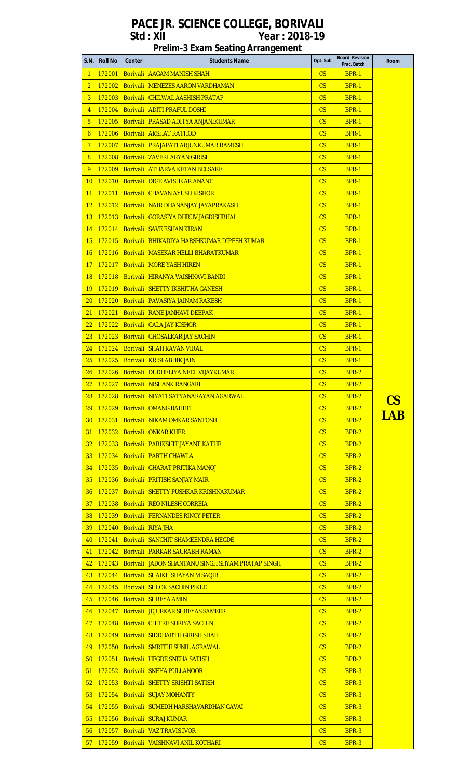# **Prelim-3 Exam Seating Arrangement**

|                 | S.N.   Roll No | Center | <b>Students Name</b>                                     | Opt. Sub               | <b>Board Revision</b><br>Prac. Batch | <b>Room</b> |
|-----------------|----------------|--------|----------------------------------------------------------|------------------------|--------------------------------------|-------------|
| $\mathbf{1}$    | 172001         |        | <b>Borivali AAGAM MANISH SHAH</b>                        | CS.                    | <b>BPR-1</b>                         |             |
| $\overline{2}$  | 172002         |        | <b>Borivali MENEZES AARON VARDHAMAN</b>                  | CS                     | <b>BPR-1</b>                         |             |
| $\overline{3}$  | 172003         |        | <b>Borivali CHILWAL AASHISH PRATAP</b>                   | CS                     | <b>BPR-1</b>                         |             |
| $\overline{4}$  | 172004         |        | <b>Borivali ADITI PRAFUL DOSHI</b>                       | CS                     | <b>BPR-1</b>                         |             |
| 5 <sub>5</sub>  | 172005         |        | <b>Borivali PRASAD ADITYA ANJANIKUMAR</b>                | $\overline{\text{CS}}$ | <b>BPR-1</b>                         |             |
| 6               | 172006         |        | <b>Borivali AKSHAT RATHOD</b>                            | $\mathsf{CS}$          | <b>BPR-1</b>                         |             |
| 7 <sup>1</sup>  | 172007         |        | <b>Borivali PRAJAPATI ARJUNKUMAR RAMESH</b>              | $\overline{\text{CS}}$ | <b>BPR-1</b>                         |             |
| 8 <sup>°</sup>  | 172008         |        | <b>Borivali ZAVERI ARYAN GIRISH</b>                      | $\mathsf{CS}$          | <b>BPR-1</b>                         |             |
| 9               | 172009         |        | <b>Borivali ATHARVA KETAN BELSARE</b>                    | $\overline{\text{CS}}$ | <b>BPR-1</b>                         |             |
| 10              | 172010         |        | <b>Borivali DIGE AVISHKAR ANANT</b>                      | CS                     | <b>BPR-1</b>                         |             |
| 11              | 172011         |        | <b>Borivali CHAVAN AYUSH KISHOR</b>                      | $\mathsf{CS}$          | <b>BPR-1</b>                         |             |
| 12 <sub>2</sub> | 172012         |        | <b>Borivali NAIR DHANANJAY JAYAPRAKASH</b>               | $\overline{\text{CS}}$ | <b>BPR-1</b>                         |             |
|                 |                |        | 13   172013   Borivali   GORASIYA DHRUV JAGDISHBHAI      | $\mathsf{CS}$          | <b>BPR-1</b>                         |             |
| 14              | 172014         |        | <b>Borivali SAVE ESHAN KIRAN</b>                         | $\overline{\text{CS}}$ | <b>BPR-1</b>                         |             |
| 15              | 172015         |        | <b>Borivali BHIKADIYA HARSHKUMAR DIPESH KUMAR</b>        | CS                     | <b>BPR-1</b>                         |             |
| 16              | 172016         |        | <b>Borivali MASEKAR HELLI BHARATKUMAR</b>                | CS                     | <b>BPR-1</b>                         |             |
| 17              | 172017         |        | <b>Borivali MORE YASH HIREN</b>                          | CS                     | <b>BPR-1</b>                         |             |
| 18              | 172018         |        | <b>Borivali HIRANYA VAISHNAVI BANDI</b>                  | $\mathsf{CS}$          | <b>BPR-1</b>                         |             |
| 19              | 172019         |        | <b>Borivali SHETTY IKSHITHA GANESH</b>                   | CS                     | <b>BPR-1</b>                         |             |
| 20 <sub>2</sub> | 172020         |        | <b>Borivali PAVASIYA JAINAM RAKESH</b>                   | $\mathsf{CS}$          | <b>BPR-1</b>                         |             |
| 21              | 172021         |        | <b>Borivali RANE JANHAVI DEEPAK</b>                      | $\mathsf{CS}$          | <b>BPR-1</b>                         |             |
| 22 <sub>2</sub> | 172022         |        | <b>Borivali GALA JAY KISHOR</b>                          | CS                     | <b>BPR-1</b>                         |             |
| 23 <sub>2</sub> | 172023         |        | <b>Borivali GHOSALKAR JAY SACHIN</b>                     | $\mathsf{CS}$          | <b>BPR-1</b>                         |             |
| 24              | 172024         |        | <b>Borivali SHAH KAVAN VIRAL</b>                         | CS                     | <b>BPR-1</b>                         |             |
| 25              | 172025         |        | <b>Borivali KRISI ABHIK JAIN</b>                         | $\mathsf{CS}$          | <b>BPR-1</b>                         |             |
| 26              | 172026         |        | <b>Borivali DUDHELIYA NEEL VIJAYKUMAR</b>                | CS                     | BPR-2                                |             |
| 27              |                |        | 172027 Borivali INISHANK RANGARI                         | $\mathsf{CS}$          | <b>BPR-2</b>                         |             |
|                 |                |        | 28 172028 Borivali NIYATI SATYANARAYAN AGARWAL           | $\overline{\text{CS}}$ | BPR-2                                |             |
|                 | 29 172029      |        | <b>Borivali OMANG BAHETI</b>                             | CS                     | <b>BPR-2</b>                         | <u>CS</u>   |
| 30 <sup>°</sup> | 172031         |        | <b>Borivali NIKAM OMKAR SANTOSH</b>                      | CS                     | BPR-2                                | <b>LAB</b>  |
| 31              | 172032         |        | <b>Borivali ONKAR KHER</b>                               | $\overline{\text{CS}}$ | <b>BPR-2</b>                         |             |
| 32 <sub>2</sub> | 172033         |        | <b>Borivali PARIKSHIT JAYANT KATHE</b>                   | CS                     | <b>BPR-2</b>                         |             |
| 33 <sup>°</sup> | 172034         |        | <b>Borivali PARTH CHAWLA</b>                             | CS                     | <b>BPR-2</b>                         |             |
| 34              | 172035         |        | <b>Borivali GHARAT PRITIKA MANOJ</b>                     | $\mathsf{CS}$          | <b>BPR-2</b>                         |             |
| 35              | 172036         |        | <b>Borivali PRITISH SANJAY MAIR</b>                      | $\overline{\text{CS}}$ | <b>BPR-2</b>                         |             |
| 36 <sub>1</sub> | 172037         |        | <b>Borivali SHETTY PUSHKAR KRISHNAKUMAR</b>              | CS                     | <b>BPR-2</b>                         |             |
| 37              | 172038         |        | <b>Borivali REO NILESH CORREIA</b>                       | CS                     | BPR-2                                |             |
| 38 <sup>°</sup> | 172039         |        | <b>Borivali FERNANDES RINCY PETER</b>                    | CS                     | <b>BPR-2</b>                         |             |
| 39              | 172040         |        | <b>Borivali RIYA JHA</b>                                 | $\mathsf{CS}$          | <b>BPR-2</b>                         |             |
| 40              | 172041         |        | <b>Borivali SANCHIT SHAMEENDRA HEGDE</b>                 | $\overline{\text{CS}}$ | BPR-2                                |             |
| 41              | 172042         |        | <b>Borivali PARKAR SAURABH RAMAN</b>                     | $\mathsf{CS}$          | <b>BPR-2</b>                         |             |
| 42              | 172043         |        | <b>Borivali JJADON SHANTANU SINGH SHYAM PRATAP SINGH</b> | CS                     | <b>BPR-2</b>                         |             |
| 43              | 172044         |        | <b>Borivali SHAIKH SHAYAN M SAQIB</b>                    | CS                     | <b>BPR-2</b>                         |             |
| 44              | 172045         |        | <b>Borivali SHLOK SACHIN PIKLE</b>                       | $\mathsf{CS}$          | <b>BPR-2</b>                         |             |
| 45              | 172046         |        | <b>Borivali SHREYA AMIN</b>                              | CS                     | <b>BPR-2</b>                         |             |
|                 | 46 172047      |        | <b>Borivali JEJURKAR SHREYAS SAMEER</b>                  | $\mathsf{CS}$          | BPR-2                                |             |
| 47              | 172048         |        | <b>Borivali CHITRE SHRIYA SACHIN</b>                     | $\overline{\text{CS}}$ | <b>BPR-2</b>                         |             |
| 48              | 172049         |        | <b>Borivali SIDDHARTH GIRISH SHAH</b>                    | CS                     | BPR-2                                |             |
| 49              | 172050         |        | <b>Borivali SMRITHI SUNIL AGRAWAL</b>                    | CS                     | <b>BPR-2</b>                         |             |
| 50 <sub>2</sub> | 172051         |        | <b>Borivali HEGDE SNEHA SATISH</b>                       | CS                     | <b>BPR-2</b>                         |             |
| 51              | 172052         |        | <b>Borivali SNEHA PULLANOOR</b>                          | CS                     | <b>BPR-3</b>                         |             |
| 52              | 172053         |        | <b>Borivali SHETTY SRISHTI SATISH</b>                    | CS                     | <b>BPR-3</b>                         |             |
| 53 <sub>o</sub> | 172054         |        | <b>Borivali SUJAY MOHANTY</b>                            | $\mathsf{CS}$          | BPR-3                                |             |
| 54              | 172055         |        | <b>Borivali SUMEDH HARSHAVARDHAN GAVAL</b>               | $\overline{\text{CS}}$ | <b>BPR-3</b>                         |             |
| 55              | 172056         |        | <b>Borivali SURAJ KUMAR</b>                              | CS                     | $BPR-3$                              |             |
| 56              | 172057         |        | <b>Borivali VAZ TRAVIS IVOR</b>                          | $\mathsf{CS}$          | BPR-3                                |             |
|                 |                |        | 57 172059 Borivali VAISHNAVI ANIL KOTHARI                | $\overline{\text{CS}}$ | BPR-3                                |             |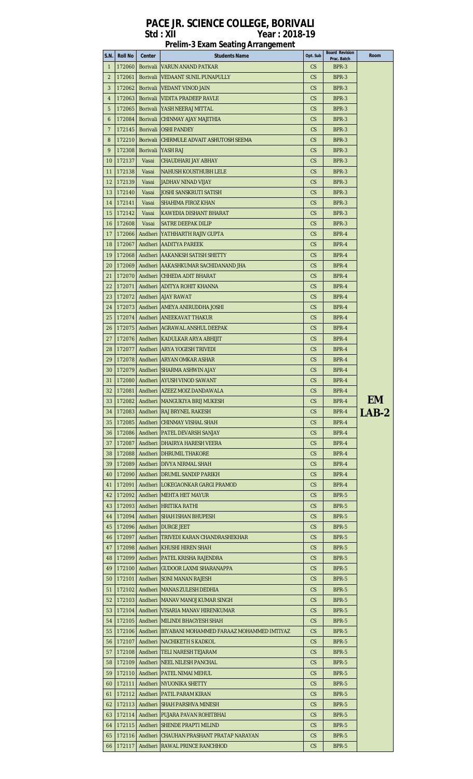|              |                |          | <b>Prelim-3 Exam Seating Arrangement</b>            |               |                                      |             |
|--------------|----------------|----------|-----------------------------------------------------|---------------|--------------------------------------|-------------|
| S.N.         | <b>Roll No</b> | Center   | <b>Students Name</b>                                | Opt. Sub      | <b>Board Revision</b><br>Prac. Batch | <b>Room</b> |
| $\mathbf{1}$ | 172060         | Borivali | <b>VARUN ANAND PATKAR</b>                           | CS            | BPR-3                                |             |
|              |                |          |                                                     |               |                                      |             |
| 2            | 172061         | Borivali | <b>VEDAANT SUNIL PUNAPULLY</b>                      | <b>CS</b>     | BPR-3                                |             |
| 3            | 172062         | Borivali | VEDANT VINOD JAIN                                   | CS            | BPR-3                                |             |
| 4            | 172063         | Borivali | VIDITA PRADEEP RAVLE                                | <b>CS</b>     | BPR-3                                |             |
| 5            | 172065         | Borivali | YASH NEERAJ MITTAL                                  | CS            | BPR-3                                |             |
| 6            | 172084         | Borivali | CHINMAY AJAY MAJITHIA                               | <b>CS</b>     | BPR-3                                |             |
| 7            | 172145         | Borivali | <b>JOSHI PANDEY</b>                                 | <b>CS</b>     | BPR-3                                |             |
|              |                |          |                                                     |               |                                      |             |
| 8            | 172210         | Borivali | CHIRMULE ADVAIT ASHUTOSH SEEMA                      | $\mathsf{CS}$ | BPR-3                                |             |
| 9            | 172308         | Borivali | YASH RAJ                                            | $\mathsf{CS}$ | BPR-3                                |             |
| 10           | 172137         | Vasai    | CHAUDHARI JAY ABHAY                                 | <b>CS</b>     | BPR-3                                |             |
| 11           | 172138         | Vasai    | <b>NAHUSH KOUSTHUBH LELE</b>                        | CS            | BPR-3                                |             |
| 12           | 172139         | Vasai    | JADHAV NINAD VIJAY                                  | <b>CS</b>     | BPR-3                                |             |
| 13           | 172140         | Vasai    | <b>JOSHI SANSKRUTI SATISH</b>                       | $\mathsf{CS}$ | BPR-3                                |             |
|              |                |          |                                                     |               |                                      |             |
| 14           | 172141         | Vasai    | SHAHIMA FIROZ KHAN                                  | <b>CS</b>     | BPR-3                                |             |
| 15           | 172142         | Vasai    | KAWEDIA DISHANT BHARAT                              | <b>CS</b>     | BPR-3                                |             |
| 16           | 172608         | Vasai    | <b>SATRE DEEPAK DILIP</b>                           | <b>CS</b>     | BPR-3                                |             |
| 17           | 172066         | Andheri  | YATHHARTH RAJIV GUPTA                               | $\mathsf{CS}$ | BPR-4                                |             |
| 18           | 172067         | Andheri  | <b>AADITYA PAREEK</b>                               | <b>CS</b>     | BPR-4                                |             |
| 19           | 172068         |          | Andheri JAAKANKSH SATISH SHETTY                     | CS            | BPR-4                                |             |
|              |                |          |                                                     |               |                                      |             |
| 20           | 172069         | Andheri  | AAKASHKUMAR SACHIDANAND JHA                         | <b>CS</b>     | BPR-4                                |             |
| 21           | 172070         |          | Andheri CHHEDA ADIT BHARAT                          | $\mathsf{CS}$ | BPR-4                                |             |
| 22           | 172071         | Andheri  | <b>ADITYA ROHIT KHANNA</b>                          | <b>CS</b>     | BPR-4                                |             |
| 23           | 172072         |          | Andheri AJAY RAWAT                                  | <b>CS</b>     | BPR-4                                |             |
| 24           | 172073         |          | Andheri JAMEYA ANIRUDDHA JOSHI                      | <b>CS</b>     | BPR-4                                |             |
|              |                |          |                                                     |               |                                      |             |
| 25           | 172074         |          | Andheri ANEEKAVAT THAKUR                            | CS.           | BPR-4                                |             |
| 26           | 172075         |          | Andheri AGRAWAL ANSHUL DEEPAK                       | <b>CS</b>     | BPR-4                                |             |
| 27           | 172076         |          | Andheri KADULKAR ARYA ABHIJIT                       | CS            | BPR-4                                |             |
| 28           | 172077         |          | Andheri JARYA YOGESH TRIVEDI                        | CS            | BPR-4                                |             |
| 29           |                |          | 172078   Andheri   ARYAN OMKAR ASHAR                | CS.           | BPR-4                                |             |
| 30           | 172079         |          | Andheri SHARMA ASHWIN AJAY                          | CS            | BPR-4                                |             |
| 31           | 172080         |          | Andheri JAYUSH VINOD SAWANT                         | CS            | BPR-4                                |             |
|              |                |          |                                                     |               |                                      |             |
| 32           |                |          | 172081   Andheri   AZEEZ MOIZ DANDAWALA             | CS            | BPR-4                                | <b>EM</b>   |
| 33           |                |          | 172082   Andheri   MANGUKIYA BRIJ MUKESH            | CS.           | BPR-4                                |             |
| 34           |                |          | 172083   Andheri   RAJ BRYNEL RAKESH                | CS.           | BPR-4                                | LAB-2       |
| 35           |                |          | 172085   Andheri   CHINMAY VISHAL SHAH              | CS.           | BPR-4                                |             |
| 36           |                |          | 172086   Andheri   PATEL DEVARSH SANJAY             | CS            | BPR-4                                |             |
| 37           | 172087         |          | Andheri   DHAIRYA HARESH VEERA                      | CS.           | BPR-4                                |             |
| 38           | 172088         |          | Andheri   DHRUMIL THAKORE                           | CS            | BPR-4                                |             |
| 39           | 172089         |          | Andheri DIVYA NIRMAL SHAH                           | CS            | BPR-4                                |             |
| 40           | 172090         |          | Andheri   DRUMIL SANDIP PARIKH                      | CS            | BPR-4                                |             |
| 41           | 172091         |          | Andheri LOKEGAONKAR GARGI PRAMOD                    | CS.           | BPR-4                                |             |
|              |                |          |                                                     |               |                                      |             |
| 42           | 172092         |          | Andheri   MEHTA HET MAYUR                           | CS            | BPR-5                                |             |
| 43           |                |          | 172093   Andheri   HRITIKA RATHI                    | CS.           | BPR-5                                |             |
| 44           | 172094         |          | Andheri SHAH ISHAN BHUPESH                          | $\mathsf{CS}$ | BPR-5                                |             |
| 45           |                |          | 172096   Andheri   DURGE JEET                       | CS.           | BPR-5                                |             |
| 46           | 172097         |          | Andheri   TRIVEDI KARAN CHANDRASHEKHAR              | CS            | BPR-5                                |             |
| 47           | 172098         |          | Andheri KHUSHI HIREN SHAH                           | CS            | BPR-5                                |             |
|              |                |          |                                                     |               |                                      |             |
| 48           | 172099         |          | Andheri   PATEL KRISHA RAJENDRA                     | $\mathsf{CS}$ | BPR-5                                |             |
| 49           |                |          | 172100   Andheri   GUDOOR LAXMI SHARANAPPA          | $\mathsf{CS}$ | BPR-5                                |             |
| 50           | 172101         |          | Andheri SONI MANAN RAJESH                           | CS            | BPR-5                                |             |
| 51           | 172102         |          | Andheri MANAS ZULESH DEDHIA                         | CS.           | BPR-5                                |             |
| 52           | 172103         |          | Andheri MANAV MANOJ KUMAR SINGH                     | $\mathsf{CS}$ | BPR-5                                |             |
| 53           | 172104         |          | Andheri   VISARIA MANAV HIRENKUMAR                  | CS.           | BPR-5                                |             |
| 54           | 172105         |          | Andheri MILINDI BHAGYESH SHAH                       | CS            | BPR-5                                |             |
|              |                |          |                                                     |               |                                      |             |
| 55           | 172106         |          | Andheri   BIYABANI MOHAMMED FARAAZ MOHAMMED IMTIYAZ | CS.           | BPR-5                                |             |
| 56           | 172107         |          | Andheri INACHIKETH S KADKOL                         | CS.           | BPR-5                                |             |
| 57           | 172108         |          | Andheri   TELI NARESH TEJARAM                       | <b>CS</b>     | BPR-5                                |             |
| 58           | 172109         |          | Andheri INEEL NILESH PANCHAL                        | CS.           | BPR-5                                |             |
| 59           | 172110         |          | Andheri   PATEL NIMAI MEHUL                         | CS.           | BPR-5                                |             |
| 60           | 172111         |          | Andheri INYUONIKA SHETTY                            | CS.           | BPR-5                                |             |
| 61           | 172112         |          | Andheri PATIL PARAM KIRAN                           | CS.           | BPR-5                                |             |
| 62           | 172113         |          | Andheri SHAH PARSHVA MINESH                         | CS            | BPR-5                                |             |
|              | 172114         |          |                                                     |               |                                      |             |
| 63           |                |          | Andheri   PUJARA PAVAN ROHITBHAI                    | CS            | BPR-5                                |             |
| 64           |                |          | 172115   Andheri   SHENDE PRAPTI MILIND             | CS            | BPR-5                                |             |
|              |                |          | 65 172116 Andheri CHAUHAN PRASHANT PRATAP NARAYAN   | CS            | BPR-5                                |             |
| 66           | 172117         |          | Andheri RAWAL PRINCE RANCHHOD                       | $\mathsf{CS}$ | BPR-5                                |             |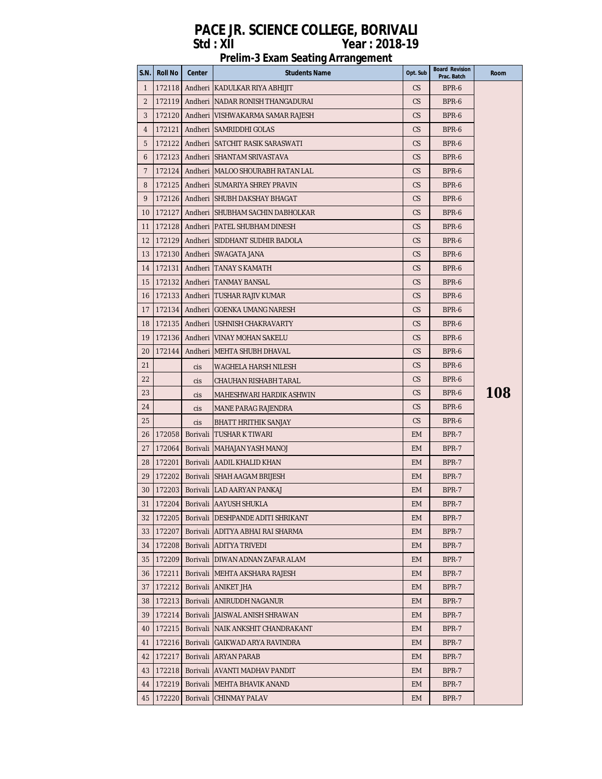| S.N.         | Roll No   | Center     | <b>Students Name</b>                              | Opt. Sub  | <b>Board Revision</b><br>Prac. Batch | Room |
|--------------|-----------|------------|---------------------------------------------------|-----------|--------------------------------------|------|
| $\mathbf{1}$ | 172118    |            | Andheri KADULKAR RIYA ABHIJIT                     | CS        | BPR-6                                |      |
| 2            | 172119    |            | Andheri NADAR RONISH THANGADURAI                  | CS        | BPR-6                                |      |
| 3            | 1721201   |            | Andheri  VISHWAKARMA SAMAR RAJESH                 | CS.       | BPR-6                                |      |
| 4            | 172121    |            | Andheri SAMRIDDHI GOLAS                           | CS        | BPR-6                                |      |
| 5            |           |            | 172122   Andheri   SATCHIT RASIK SARASWATI        | CS        | BPR-6                                |      |
| 6            |           |            | 172123   Andheri   SHANTAM SRIVASTAVA             | CS.       | BPR-6                                |      |
| 7            | 1721241   |            | Andheri IMALOO SHOURABH RATAN LAL                 | CS        | BPR-6                                |      |
| 8            |           |            | 172125   Andheri   SUMARIYA SHREY PRAVIN          | CS        | BPR-6                                |      |
| 9            |           |            | 172126   Andheri SHUBH DAKSHAY BHAGAT             | CS        | BPR-6                                |      |
| 10           |           |            | 172127   Andheri   SHUBHAM SACHIN DABHOLKAR       | CS        | BPR-6                                |      |
| 11           |           |            | 172128   Andheri   PATEL SHUBHAM DINESH           | CS        | BPR-6                                |      |
| 12           |           |            | 172129   Andheri   SIDDHANT SUDHIR BADOLA         | CS.       | BPR-6                                |      |
| 13           |           |            | 172130   Andheri   SWAGATA JANA                   | CS        | BPR-6                                |      |
| 14           | 172131    |            | Andheri ITANAY S KAMATH                           | CS        | BPR-6                                |      |
| 15           |           |            | 172132   Andheri   TANMAY BANSAL                  | CS        | BPR-6                                |      |
| 16           |           |            | 172133   Andheri   TUSHAR RAJIV KUMAR             | CS.       | BPR-6                                |      |
| 17           |           |            | 172134   Andheri   GOENKA UMANG NARESH            | CS        | BPR-6                                |      |
| 18           |           |            | 172135   Andheri   USHNISH CHAKRAVARTY            | CS        | BPR-6                                |      |
| 19           | 172136    |            | Andheri VINAY MOHAN SAKELU                        | CS        | BPR-6                                |      |
| 20           | 172144    |            | Andheri   MEHTA SHUBH DHAVAL                      | CS        | BPR-6                                |      |
| 21           |           | cis        | WAGHELA HARSH NILESH                              | CS        | BPR-6                                |      |
| 22           |           | <b>Cis</b> | CHAUHAN RISHABH TARAL                             | CS        | BPR-6                                |      |
| 23           |           | cis        | MAHESHWARI HARDIK ASHWIN                          | CS        | BPR-6                                | 108  |
| 24           |           | cis        | MANE PARAG RAJENDRA                               | CS        | BPR-6                                |      |
| 25           |           | cis        | BHATT HRITHIK SANJAY                              | CS        | BPR-6                                |      |
| 26           | 172058    | Borivali   | TUSHAR K TIWARI                                   | <b>EM</b> | BPR-7                                |      |
| 27           | 172064    |            | Borivali MAHAJAN YASH MANOJ                       | <b>EM</b> | BPR-7                                |      |
| 28           | 172201    |            | Borivali AADIL KHALID KHAN                        | <b>EM</b> | BPR-7                                |      |
| 29           |           |            | 172202   Borivali SHAH AAGAM BRIJESH              | <b>EM</b> | BPR-7                                |      |
| 30           |           |            | 172203   Borivali LAD AARYAN PANKAJ               | <b>EM</b> | BPR-7                                |      |
|              |           |            | 31   172204   Borivali   AAYUSH SHUKLA            | EM        | BPR-7                                |      |
|              |           |            | 32   172205   Borivali   DESHPANDE ADITI SHRIKANT | EM.       | BPR-7                                |      |
|              | 33 172207 |            | Borivali ADITYA ABHAI RAI SHARMA                  | EM.       | BPR-7                                |      |
|              | 34 172208 |            | Borivali ADITYA TRIVEDI                           | EM.       | BPR-7                                |      |
| 35           | 172209    |            | Borivali   DIWAN ADNAN ZAFAR ALAM                 | EM.       | BPR-7                                |      |
| 36           | 172211    |            | Borivali MEHTA AKSHARA RAJESH                     | EM.       | BPR-7                                |      |
| 37           | 172212    |            | Borivali ANIKET JHA                               | EM.       | BPR-7                                |      |
| 38           | 172213    |            | Borivali ANIRUDDH NAGANUR                         | <b>EM</b> | BPR-7                                |      |
| 39           | 172214    |            | Borivali JJAISWAL ANISH SHRAWAN                   | EM.       | BPR-7                                |      |
| 40           | 172215    |            | Borivali NAIK ANKSHIT CHANDRAKANT                 | EM.       | BPR-7                                |      |
| 41           | 172216    |            | Borivali GAIKWAD ARYA RAVINDRA                    | EM.       | BPR-7                                |      |
| 42           | 172217    |            | Borivali ARYAN PARAB                              | EM.       | BPR-7                                |      |
| 43           |           |            | 172218   Borivali   AVANTI MADHAV PANDIT          | EM.       | BPR-7                                |      |
| 44           | 172219    |            | Borivali   MEHTA BHAVIK ANAND                     | <b>EM</b> | BPR-7                                |      |
| 45           | 172220    |            | Borivali CHINMAY PALAV                            | EM        | BPR-7                                |      |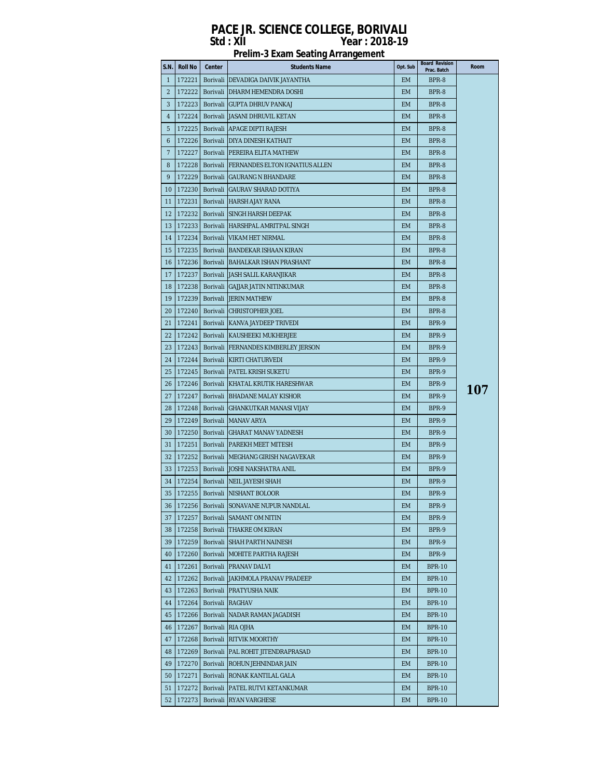| <b>Prelim-3 Exam Seating Arrangement</b> |  |
|------------------------------------------|--|
|------------------------------------------|--|

| Prac. Batch<br>$\mathbf{1}$<br>172221<br>Borivali   DEVADIGA DAIVIK JAYANTHA<br><b>EM</b><br>BPR-8<br>$\overline{2}$<br>172222<br>Borivali   DHARM HEMENDRA DOSHI<br>BPR-8<br>EM.<br>3<br>172223<br>Borivali GUPTA DHRUV PANKAJ<br><b>EM</b><br>BPR-8<br>4<br>172224<br>Borivali JASANI DHRUVIL KETAN<br>EM<br>BPR-8<br>5<br>172225<br>Borivali APAGE DIPTI RAJESH<br>EM<br>BPR-8<br>172226<br>Borivali   DIYA DINESH KATHAIT<br><b>EM</b><br>BPR-8<br>6<br>$\overline{7}$<br>172227<br>Borivali   PEREIRA ELITA MATHEW<br><b>EM</b><br>BPR-8<br>172228<br>Borivali FERNANDES ELTON IGNATIUS ALLEN<br><b>EM</b><br>BPR-8<br>8<br>9<br>172229<br>BPR-8<br>Borivali GAURANG N BHANDARE<br>EM.<br>172230<br>BPR-8<br>10<br>Borivali GAURAV SHARAD DOTIYA<br>EM.<br>172231<br>Borivali HARSH AJAY RANA<br>BPR-8<br>11<br>EM.<br>12<br>172232<br>Borivali SINGH HARSH DEEPAK<br><b>EM</b><br>BPR-8<br>13<br>172233<br>Borivali HARSHPAL AMRITPAL SINGH<br>EM<br>BPR-8<br>14<br>172234<br><b>VIKAM HET NIRMAL</b><br><b>EM</b><br>BPR-8<br>Borivali<br>15<br>172235<br>Borivali<br><b>BANDEKAR ISHAAN KIRAN</b><br><b>EM</b><br>BPR-8<br>172236<br>Borivali BAHALKAR ISHAN PRASHANT<br><b>EM</b><br>BPR-8<br>16<br>17<br>172237<br>Borivali JASH SALIL KARANJIKAR<br>EM<br>BPR-8<br>18<br>172238<br>Borivali GAJJAR JATIN NITINKUMAR<br>BPR-8<br>EM.<br>19<br>172239<br>Borivali JERIN MATHEW<br><b>EM</b><br>BPR-8<br>20<br>172240<br>Borivali CHRISTOPHER JOEL<br>EM<br>BPR-8<br>21<br>172241<br>Borivali KANVA JAYDEEP TRIVEDI<br>EM<br>BPR-9<br>22<br>172242<br>Borivali KAUSHEEKI MUKHERJEE<br><b>EM</b><br>BPR-9<br>23<br>172243<br>Borivali FERNANDES KIMBERLEY JERSON<br><b>EM</b><br>BPR-9<br>24<br>172244<br>Borivali KIRTI CHATURVEDI<br><b>EM</b><br>BPR-9<br>25<br>172245<br>Borivali   PATEL KRISH SUKETU<br><b>EM</b><br>BPR-9<br>172246<br>KHATAL KRUTIK HARESHWAR<br>BPR-9<br>26<br>Borivali<br>EM.<br>107<br>172247<br>27<br>Borivali BHADANE MALAY KISHOR<br>EM.<br>BPR-9<br>172248<br>Borivali GHANKUTKAR MANASI VIJAY<br><b>EM</b><br>BPR-9<br>28<br>29<br>172249<br>Borivali MANAV ARYA<br>EM<br>BPR-9<br>30<br>172250<br>Borivali GHARAT MANAV YADNESH<br>EM<br>BPR-9<br>31<br>172251<br>Borivali   PAREKH MEET MITESH<br><b>EM</b><br>BPR-9<br>172252 |
|-------------------------------------------------------------------------------------------------------------------------------------------------------------------------------------------------------------------------------------------------------------------------------------------------------------------------------------------------------------------------------------------------------------------------------------------------------------------------------------------------------------------------------------------------------------------------------------------------------------------------------------------------------------------------------------------------------------------------------------------------------------------------------------------------------------------------------------------------------------------------------------------------------------------------------------------------------------------------------------------------------------------------------------------------------------------------------------------------------------------------------------------------------------------------------------------------------------------------------------------------------------------------------------------------------------------------------------------------------------------------------------------------------------------------------------------------------------------------------------------------------------------------------------------------------------------------------------------------------------------------------------------------------------------------------------------------------------------------------------------------------------------------------------------------------------------------------------------------------------------------------------------------------------------------------------------------------------------------------------------------------------------------------------------------------------------------------------------------------------------------------------------------------------------------------------------------------------------------------------------------------------------------|
|                                                                                                                                                                                                                                                                                                                                                                                                                                                                                                                                                                                                                                                                                                                                                                                                                                                                                                                                                                                                                                                                                                                                                                                                                                                                                                                                                                                                                                                                                                                                                                                                                                                                                                                                                                                                                                                                                                                                                                                                                                                                                                                                                                                                                                                                         |
|                                                                                                                                                                                                                                                                                                                                                                                                                                                                                                                                                                                                                                                                                                                                                                                                                                                                                                                                                                                                                                                                                                                                                                                                                                                                                                                                                                                                                                                                                                                                                                                                                                                                                                                                                                                                                                                                                                                                                                                                                                                                                                                                                                                                                                                                         |
|                                                                                                                                                                                                                                                                                                                                                                                                                                                                                                                                                                                                                                                                                                                                                                                                                                                                                                                                                                                                                                                                                                                                                                                                                                                                                                                                                                                                                                                                                                                                                                                                                                                                                                                                                                                                                                                                                                                                                                                                                                                                                                                                                                                                                                                                         |
|                                                                                                                                                                                                                                                                                                                                                                                                                                                                                                                                                                                                                                                                                                                                                                                                                                                                                                                                                                                                                                                                                                                                                                                                                                                                                                                                                                                                                                                                                                                                                                                                                                                                                                                                                                                                                                                                                                                                                                                                                                                                                                                                                                                                                                                                         |
|                                                                                                                                                                                                                                                                                                                                                                                                                                                                                                                                                                                                                                                                                                                                                                                                                                                                                                                                                                                                                                                                                                                                                                                                                                                                                                                                                                                                                                                                                                                                                                                                                                                                                                                                                                                                                                                                                                                                                                                                                                                                                                                                                                                                                                                                         |
|                                                                                                                                                                                                                                                                                                                                                                                                                                                                                                                                                                                                                                                                                                                                                                                                                                                                                                                                                                                                                                                                                                                                                                                                                                                                                                                                                                                                                                                                                                                                                                                                                                                                                                                                                                                                                                                                                                                                                                                                                                                                                                                                                                                                                                                                         |
|                                                                                                                                                                                                                                                                                                                                                                                                                                                                                                                                                                                                                                                                                                                                                                                                                                                                                                                                                                                                                                                                                                                                                                                                                                                                                                                                                                                                                                                                                                                                                                                                                                                                                                                                                                                                                                                                                                                                                                                                                                                                                                                                                                                                                                                                         |
|                                                                                                                                                                                                                                                                                                                                                                                                                                                                                                                                                                                                                                                                                                                                                                                                                                                                                                                                                                                                                                                                                                                                                                                                                                                                                                                                                                                                                                                                                                                                                                                                                                                                                                                                                                                                                                                                                                                                                                                                                                                                                                                                                                                                                                                                         |
|                                                                                                                                                                                                                                                                                                                                                                                                                                                                                                                                                                                                                                                                                                                                                                                                                                                                                                                                                                                                                                                                                                                                                                                                                                                                                                                                                                                                                                                                                                                                                                                                                                                                                                                                                                                                                                                                                                                                                                                                                                                                                                                                                                                                                                                                         |
|                                                                                                                                                                                                                                                                                                                                                                                                                                                                                                                                                                                                                                                                                                                                                                                                                                                                                                                                                                                                                                                                                                                                                                                                                                                                                                                                                                                                                                                                                                                                                                                                                                                                                                                                                                                                                                                                                                                                                                                                                                                                                                                                                                                                                                                                         |
|                                                                                                                                                                                                                                                                                                                                                                                                                                                                                                                                                                                                                                                                                                                                                                                                                                                                                                                                                                                                                                                                                                                                                                                                                                                                                                                                                                                                                                                                                                                                                                                                                                                                                                                                                                                                                                                                                                                                                                                                                                                                                                                                                                                                                                                                         |
|                                                                                                                                                                                                                                                                                                                                                                                                                                                                                                                                                                                                                                                                                                                                                                                                                                                                                                                                                                                                                                                                                                                                                                                                                                                                                                                                                                                                                                                                                                                                                                                                                                                                                                                                                                                                                                                                                                                                                                                                                                                                                                                                                                                                                                                                         |
|                                                                                                                                                                                                                                                                                                                                                                                                                                                                                                                                                                                                                                                                                                                                                                                                                                                                                                                                                                                                                                                                                                                                                                                                                                                                                                                                                                                                                                                                                                                                                                                                                                                                                                                                                                                                                                                                                                                                                                                                                                                                                                                                                                                                                                                                         |
|                                                                                                                                                                                                                                                                                                                                                                                                                                                                                                                                                                                                                                                                                                                                                                                                                                                                                                                                                                                                                                                                                                                                                                                                                                                                                                                                                                                                                                                                                                                                                                                                                                                                                                                                                                                                                                                                                                                                                                                                                                                                                                                                                                                                                                                                         |
|                                                                                                                                                                                                                                                                                                                                                                                                                                                                                                                                                                                                                                                                                                                                                                                                                                                                                                                                                                                                                                                                                                                                                                                                                                                                                                                                                                                                                                                                                                                                                                                                                                                                                                                                                                                                                                                                                                                                                                                                                                                                                                                                                                                                                                                                         |
|                                                                                                                                                                                                                                                                                                                                                                                                                                                                                                                                                                                                                                                                                                                                                                                                                                                                                                                                                                                                                                                                                                                                                                                                                                                                                                                                                                                                                                                                                                                                                                                                                                                                                                                                                                                                                                                                                                                                                                                                                                                                                                                                                                                                                                                                         |
|                                                                                                                                                                                                                                                                                                                                                                                                                                                                                                                                                                                                                                                                                                                                                                                                                                                                                                                                                                                                                                                                                                                                                                                                                                                                                                                                                                                                                                                                                                                                                                                                                                                                                                                                                                                                                                                                                                                                                                                                                                                                                                                                                                                                                                                                         |
|                                                                                                                                                                                                                                                                                                                                                                                                                                                                                                                                                                                                                                                                                                                                                                                                                                                                                                                                                                                                                                                                                                                                                                                                                                                                                                                                                                                                                                                                                                                                                                                                                                                                                                                                                                                                                                                                                                                                                                                                                                                                                                                                                                                                                                                                         |
|                                                                                                                                                                                                                                                                                                                                                                                                                                                                                                                                                                                                                                                                                                                                                                                                                                                                                                                                                                                                                                                                                                                                                                                                                                                                                                                                                                                                                                                                                                                                                                                                                                                                                                                                                                                                                                                                                                                                                                                                                                                                                                                                                                                                                                                                         |
|                                                                                                                                                                                                                                                                                                                                                                                                                                                                                                                                                                                                                                                                                                                                                                                                                                                                                                                                                                                                                                                                                                                                                                                                                                                                                                                                                                                                                                                                                                                                                                                                                                                                                                                                                                                                                                                                                                                                                                                                                                                                                                                                                                                                                                                                         |
|                                                                                                                                                                                                                                                                                                                                                                                                                                                                                                                                                                                                                                                                                                                                                                                                                                                                                                                                                                                                                                                                                                                                                                                                                                                                                                                                                                                                                                                                                                                                                                                                                                                                                                                                                                                                                                                                                                                                                                                                                                                                                                                                                                                                                                                                         |
|                                                                                                                                                                                                                                                                                                                                                                                                                                                                                                                                                                                                                                                                                                                                                                                                                                                                                                                                                                                                                                                                                                                                                                                                                                                                                                                                                                                                                                                                                                                                                                                                                                                                                                                                                                                                                                                                                                                                                                                                                                                                                                                                                                                                                                                                         |
|                                                                                                                                                                                                                                                                                                                                                                                                                                                                                                                                                                                                                                                                                                                                                                                                                                                                                                                                                                                                                                                                                                                                                                                                                                                                                                                                                                                                                                                                                                                                                                                                                                                                                                                                                                                                                                                                                                                                                                                                                                                                                                                                                                                                                                                                         |
|                                                                                                                                                                                                                                                                                                                                                                                                                                                                                                                                                                                                                                                                                                                                                                                                                                                                                                                                                                                                                                                                                                                                                                                                                                                                                                                                                                                                                                                                                                                                                                                                                                                                                                                                                                                                                                                                                                                                                                                                                                                                                                                                                                                                                                                                         |
|                                                                                                                                                                                                                                                                                                                                                                                                                                                                                                                                                                                                                                                                                                                                                                                                                                                                                                                                                                                                                                                                                                                                                                                                                                                                                                                                                                                                                                                                                                                                                                                                                                                                                                                                                                                                                                                                                                                                                                                                                                                                                                                                                                                                                                                                         |
|                                                                                                                                                                                                                                                                                                                                                                                                                                                                                                                                                                                                                                                                                                                                                                                                                                                                                                                                                                                                                                                                                                                                                                                                                                                                                                                                                                                                                                                                                                                                                                                                                                                                                                                                                                                                                                                                                                                                                                                                                                                                                                                                                                                                                                                                         |
|                                                                                                                                                                                                                                                                                                                                                                                                                                                                                                                                                                                                                                                                                                                                                                                                                                                                                                                                                                                                                                                                                                                                                                                                                                                                                                                                                                                                                                                                                                                                                                                                                                                                                                                                                                                                                                                                                                                                                                                                                                                                                                                                                                                                                                                                         |
|                                                                                                                                                                                                                                                                                                                                                                                                                                                                                                                                                                                                                                                                                                                                                                                                                                                                                                                                                                                                                                                                                                                                                                                                                                                                                                                                                                                                                                                                                                                                                                                                                                                                                                                                                                                                                                                                                                                                                                                                                                                                                                                                                                                                                                                                         |
|                                                                                                                                                                                                                                                                                                                                                                                                                                                                                                                                                                                                                                                                                                                                                                                                                                                                                                                                                                                                                                                                                                                                                                                                                                                                                                                                                                                                                                                                                                                                                                                                                                                                                                                                                                                                                                                                                                                                                                                                                                                                                                                                                                                                                                                                         |
|                                                                                                                                                                                                                                                                                                                                                                                                                                                                                                                                                                                                                                                                                                                                                                                                                                                                                                                                                                                                                                                                                                                                                                                                                                                                                                                                                                                                                                                                                                                                                                                                                                                                                                                                                                                                                                                                                                                                                                                                                                                                                                                                                                                                                                                                         |
|                                                                                                                                                                                                                                                                                                                                                                                                                                                                                                                                                                                                                                                                                                                                                                                                                                                                                                                                                                                                                                                                                                                                                                                                                                                                                                                                                                                                                                                                                                                                                                                                                                                                                                                                                                                                                                                                                                                                                                                                                                                                                                                                                                                                                                                                         |
| 32<br>Borivali MEGHANG GIRISH NAGAVEKAR<br><b>EM</b><br>BPR-9                                                                                                                                                                                                                                                                                                                                                                                                                                                                                                                                                                                                                                                                                                                                                                                                                                                                                                                                                                                                                                                                                                                                                                                                                                                                                                                                                                                                                                                                                                                                                                                                                                                                                                                                                                                                                                                                                                                                                                                                                                                                                                                                                                                                           |
| 33<br>172253<br>Borivali JOSHI NAKSHATRA ANIL<br>EM<br>BPR-9                                                                                                                                                                                                                                                                                                                                                                                                                                                                                                                                                                                                                                                                                                                                                                                                                                                                                                                                                                                                                                                                                                                                                                                                                                                                                                                                                                                                                                                                                                                                                                                                                                                                                                                                                                                                                                                                                                                                                                                                                                                                                                                                                                                                            |
| 34<br>172254<br>Borivali<br>NEIL JAYESH SHAH<br>EM<br>BPR-9                                                                                                                                                                                                                                                                                                                                                                                                                                                                                                                                                                                                                                                                                                                                                                                                                                                                                                                                                                                                                                                                                                                                                                                                                                                                                                                                                                                                                                                                                                                                                                                                                                                                                                                                                                                                                                                                                                                                                                                                                                                                                                                                                                                                             |
| 35<br>172255<br>Borivali INISHANT BOLOOR<br><b>EM</b><br>BPR-9                                                                                                                                                                                                                                                                                                                                                                                                                                                                                                                                                                                                                                                                                                                                                                                                                                                                                                                                                                                                                                                                                                                                                                                                                                                                                                                                                                                                                                                                                                                                                                                                                                                                                                                                                                                                                                                                                                                                                                                                                                                                                                                                                                                                          |
| 172256<br>Borivali SONAVANE NUPUR NANDLAL<br>EM<br>BPR-9<br>36                                                                                                                                                                                                                                                                                                                                                                                                                                                                                                                                                                                                                                                                                                                                                                                                                                                                                                                                                                                                                                                                                                                                                                                                                                                                                                                                                                                                                                                                                                                                                                                                                                                                                                                                                                                                                                                                                                                                                                                                                                                                                                                                                                                                          |
| 37<br>172257<br>BPR-9<br>Borivali SAMANT OM NITIN<br>EM                                                                                                                                                                                                                                                                                                                                                                                                                                                                                                                                                                                                                                                                                                                                                                                                                                                                                                                                                                                                                                                                                                                                                                                                                                                                                                                                                                                                                                                                                                                                                                                                                                                                                                                                                                                                                                                                                                                                                                                                                                                                                                                                                                                                                 |
| 38<br>172258<br>Borivali THAKRE OM KIRAN<br>EM<br>BPR-9                                                                                                                                                                                                                                                                                                                                                                                                                                                                                                                                                                                                                                                                                                                                                                                                                                                                                                                                                                                                                                                                                                                                                                                                                                                                                                                                                                                                                                                                                                                                                                                                                                                                                                                                                                                                                                                                                                                                                                                                                                                                                                                                                                                                                 |
| 39<br>172259<br>Borivali SHAH PARTH NAINESH<br><b>EM</b><br>BPR-9                                                                                                                                                                                                                                                                                                                                                                                                                                                                                                                                                                                                                                                                                                                                                                                                                                                                                                                                                                                                                                                                                                                                                                                                                                                                                                                                                                                                                                                                                                                                                                                                                                                                                                                                                                                                                                                                                                                                                                                                                                                                                                                                                                                                       |
| 172260<br>40<br>Borivali<br><b>MOHITE PARTHA RAJESH</b><br><b>EM</b><br>BPR-9                                                                                                                                                                                                                                                                                                                                                                                                                                                                                                                                                                                                                                                                                                                                                                                                                                                                                                                                                                                                                                                                                                                                                                                                                                                                                                                                                                                                                                                                                                                                                                                                                                                                                                                                                                                                                                                                                                                                                                                                                                                                                                                                                                                           |
| 172261<br>41<br>Borivali<br><b>PRANAV DALVI</b><br><b>EM</b><br><b>BPR-10</b>                                                                                                                                                                                                                                                                                                                                                                                                                                                                                                                                                                                                                                                                                                                                                                                                                                                                                                                                                                                                                                                                                                                                                                                                                                                                                                                                                                                                                                                                                                                                                                                                                                                                                                                                                                                                                                                                                                                                                                                                                                                                                                                                                                                           |
| 172262<br>42<br>Borivali JAKHMOLA PRANAV PRADEEP<br><b>EM</b><br><b>BPR-10</b>                                                                                                                                                                                                                                                                                                                                                                                                                                                                                                                                                                                                                                                                                                                                                                                                                                                                                                                                                                                                                                                                                                                                                                                                                                                                                                                                                                                                                                                                                                                                                                                                                                                                                                                                                                                                                                                                                                                                                                                                                                                                                                                                                                                          |
| 172263<br>Borivali<br>PRATYUSHA NAIK<br><b>EM</b><br><b>BPR-10</b><br>43                                                                                                                                                                                                                                                                                                                                                                                                                                                                                                                                                                                                                                                                                                                                                                                                                                                                                                                                                                                                                                                                                                                                                                                                                                                                                                                                                                                                                                                                                                                                                                                                                                                                                                                                                                                                                                                                                                                                                                                                                                                                                                                                                                                                |
| 172264<br>44<br>Borivali<br><b>RAGHAV</b><br><b>EM</b><br><b>BPR-10</b>                                                                                                                                                                                                                                                                                                                                                                                                                                                                                                                                                                                                                                                                                                                                                                                                                                                                                                                                                                                                                                                                                                                                                                                                                                                                                                                                                                                                                                                                                                                                                                                                                                                                                                                                                                                                                                                                                                                                                                                                                                                                                                                                                                                                 |
| 172266<br>45<br>Borivali NADAR RAMAN JAGADISH<br><b>EM</b><br><b>BPR-10</b>                                                                                                                                                                                                                                                                                                                                                                                                                                                                                                                                                                                                                                                                                                                                                                                                                                                                                                                                                                                                                                                                                                                                                                                                                                                                                                                                                                                                                                                                                                                                                                                                                                                                                                                                                                                                                                                                                                                                                                                                                                                                                                                                                                                             |
| 172267<br>EM<br>46<br>Borivali<br><b>RIA OJHA</b><br><b>BPR-10</b>                                                                                                                                                                                                                                                                                                                                                                                                                                                                                                                                                                                                                                                                                                                                                                                                                                                                                                                                                                                                                                                                                                                                                                                                                                                                                                                                                                                                                                                                                                                                                                                                                                                                                                                                                                                                                                                                                                                                                                                                                                                                                                                                                                                                      |
| 47<br>172268<br>Borivali<br><b>RITVIK MOORTHY</b><br><b>EM</b><br><b>BPR-10</b>                                                                                                                                                                                                                                                                                                                                                                                                                                                                                                                                                                                                                                                                                                                                                                                                                                                                                                                                                                                                                                                                                                                                                                                                                                                                                                                                                                                                                                                                                                                                                                                                                                                                                                                                                                                                                                                                                                                                                                                                                                                                                                                                                                                         |
| 172269<br>48<br>Borivali<br>PAL ROHIT JITENDRAPRASAD<br><b>EM</b><br><b>BPR-10</b>                                                                                                                                                                                                                                                                                                                                                                                                                                                                                                                                                                                                                                                                                                                                                                                                                                                                                                                                                                                                                                                                                                                                                                                                                                                                                                                                                                                                                                                                                                                                                                                                                                                                                                                                                                                                                                                                                                                                                                                                                                                                                                                                                                                      |
| 49<br>172270<br><b>BPR-10</b><br>Borivali<br>ROHUN JEHNINDAR JAIN<br><b>EM</b>                                                                                                                                                                                                                                                                                                                                                                                                                                                                                                                                                                                                                                                                                                                                                                                                                                                                                                                                                                                                                                                                                                                                                                                                                                                                                                                                                                                                                                                                                                                                                                                                                                                                                                                                                                                                                                                                                                                                                                                                                                                                                                                                                                                          |
| 172271<br><b>BPR-10</b><br>50<br>Borivali<br>RONAK KANTILAL GALA<br>EM                                                                                                                                                                                                                                                                                                                                                                                                                                                                                                                                                                                                                                                                                                                                                                                                                                                                                                                                                                                                                                                                                                                                                                                                                                                                                                                                                                                                                                                                                                                                                                                                                                                                                                                                                                                                                                                                                                                                                                                                                                                                                                                                                                                                  |
| <b>BPR-10</b><br>51<br>172272<br>Borivali<br>PATEL RUTVI KETANKUMAR<br>EM                                                                                                                                                                                                                                                                                                                                                                                                                                                                                                                                                                                                                                                                                                                                                                                                                                                                                                                                                                                                                                                                                                                                                                                                                                                                                                                                                                                                                                                                                                                                                                                                                                                                                                                                                                                                                                                                                                                                                                                                                                                                                                                                                                                               |
| 52<br>172273<br>Borivali<br><b>RYAN VARGHESE</b><br><b>EM</b><br><b>BPR-10</b>                                                                                                                                                                                                                                                                                                                                                                                                                                                                                                                                                                                                                                                                                                                                                                                                                                                                                                                                                                                                                                                                                                                                                                                                                                                                                                                                                                                                                                                                                                                                                                                                                                                                                                                                                                                                                                                                                                                                                                                                                                                                                                                                                                                          |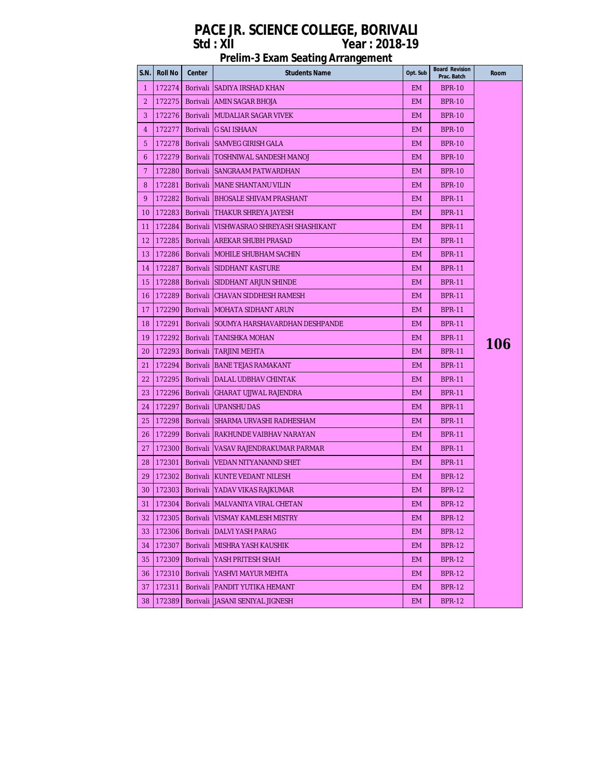| S.N.           | <b>Roll No</b> | Center          | <b>Students Name</b>                     | Opt. Sub  | <b>Board Revision</b><br>Prac. Batch | Room |
|----------------|----------------|-----------------|------------------------------------------|-----------|--------------------------------------|------|
| -1             | 172274         |                 | Borivali SADIYA IRSHAD KHAN              | EM.       | <b>BPR-10</b>                        |      |
| 2              | 172275         |                 | Borivali JAMIN SAGAR BHOJA               | EM.       | <b>BPR-10</b>                        |      |
| 3              | 172276         |                 | Borivali IMUDALIAR SAGAR VIVEK           | EM.       | <b>BPR-10</b>                        |      |
| 4              | 172277         |                 | Borivali G SAI ISHAAN                    | EM.       | <b>BPR-10</b>                        |      |
| 5              | 172278         |                 | Borivali SAMVEG GIRISH GALA              | EM.       | <b>BPR-10</b>                        |      |
| 6              | 172279         |                 | Borivali TOSHNIWAL SANDESH MANOJ         | EM.       | <b>BPR-10</b>                        |      |
| $\overline{7}$ | 172280         |                 | Borivali SANGRAAM PATWARDHAN             | EM.       | <b>BPR-10</b>                        |      |
| 8              | 172281         |                 | Borivali IMANE SHANTANU VILIN            | EM.       | <b>BPR-10</b>                        |      |
| 9              | 172282         |                 | Borivali BHOSALE SHIVAM PRASHANT         | EM.       | <b>BPR-11</b>                        |      |
| 10             | 172283         |                 | Borivali THAKUR SHREYA JAYESH            | EM.       | <b>BPR-11</b>                        |      |
| 11             | 172284         |                 | Borivali  VISHWASRAO SHREYASH SHASHIKANT | EM.       | <b>BPR-11</b>                        |      |
| 12             | 172285         |                 | Borivali JAREKAR SHUBH PRASAD            | EM.       | <b>BPR-11</b>                        |      |
| 13             | 172286         |                 | Borivali MOHILE SHUBHAM SACHIN           | EM.       | <b>BPR-11</b>                        |      |
| 14             | 172287         |                 | Borivali SIDDHANT KASTURE                | EM.       | <b>BPR-11</b>                        |      |
| 15             | 172288         |                 | Borivali ISIDDHANT ARJUN SHINDE          | EM.       | <b>BPR-11</b>                        |      |
| 16             | 172289         |                 | Borivali CHAVAN SIDDHESH RAMESH          | EM.       | <b>BPR-11</b>                        |      |
| 17             | 172290         |                 | Borivali MOHATA SIDHANT ARUN             | EM.       | <b>BPR-11</b>                        |      |
| 18             | 172291         |                 | Borivali SOUMYA HARSHAVARDHAN DESHPANDE  | EM.       | <b>BPR-11</b>                        |      |
| 19             | 172292         |                 | Borivali TANISHKA MOHAN                  | EM.       | <b>BPR-11</b>                        |      |
| 20             | 172293         |                 | Borivali [TARJINI MEHTA                  | EM.       | <b>BPR-11</b>                        | 106  |
| 21             | 172294         |                 | Borivali JBANE TEJAS RAMAKANT            | EM.       | <b>BPR-11</b>                        |      |
| 22             | 172295         |                 | Borivali   DALAL UDBHAV CHINTAK          | EM.       | <b>BPR-11</b>                        |      |
| 23             | 172296         |                 | Borivali   GHARAT UJJWAL RAJENDRA        | EM.       | <b>BPR-11</b>                        |      |
| 24             | 172297         |                 | Borivali UPANSHU DAS                     | EM.       | <b>BPR-11</b>                        |      |
| 25             | 172298         |                 | Borivali ISHARMA URVASHI RADHESHAM       | EM.       | <b>BPR-11</b>                        |      |
| 26             | 172299         |                 | Borivali RAKHUNDE VAIBHAV NARAYAN        | EM.       | <b>BPR-11</b>                        |      |
| 27             | 172300         |                 | Borivali   VASAV RAJENDRAKUMAR PARMAR    | <b>EM</b> | <b>BPR-11</b>                        |      |
| 28             | 172301         |                 | Borivali   VEDAN NITYANANND SHET         | EM.       | <b>BPR-11</b>                        |      |
| 29             | 172302         |                 | Borivali KUNTE VEDANT NILESH             | EM.       | <b>BPR-12</b>                        |      |
| 30             | 172303         |                 | Borivali  YADAV VIKAS RAJKUMAR           | EM.       | <b>BPR-12</b>                        |      |
| 31             |                |                 | 172304   Borivali MALVANIYA VIRAL CHETAN | <b>EM</b> | <b>BPR-12</b>                        |      |
| 32             | 172305         | Borivali        | VISMAY KAMLESH MISTRY                    | EM        | BPR-12                               |      |
| 33             | 172306         | Borivali        | <b>IDALVI YASH PARAG</b>                 | EM        | <b>BPR-12</b>                        |      |
| 34             | 172307         | <b>Borivali</b> | <b>MISHRA YASH KAUSHIK</b>               | EM        | <b>BPR-12</b>                        |      |
| 35             | 172309         | Borivali        | YASH PRITESH SHAH                        | EM        | <b>BPR-12</b>                        |      |
| 36             | 172310         | Borivali        | YASHVI MAYUR MEHTA                       | EM        | <b>BPR-12</b>                        |      |
| 37             | 172311         | Borivali        | JPANDIT YUTIKA HEMANT                    | EM.       | <b>BPR-12</b>                        |      |
| 38             | 172389         | Borivali        | JASANI SENIYAL JIGNESH                   | EM        | <b>BPR-12</b>                        |      |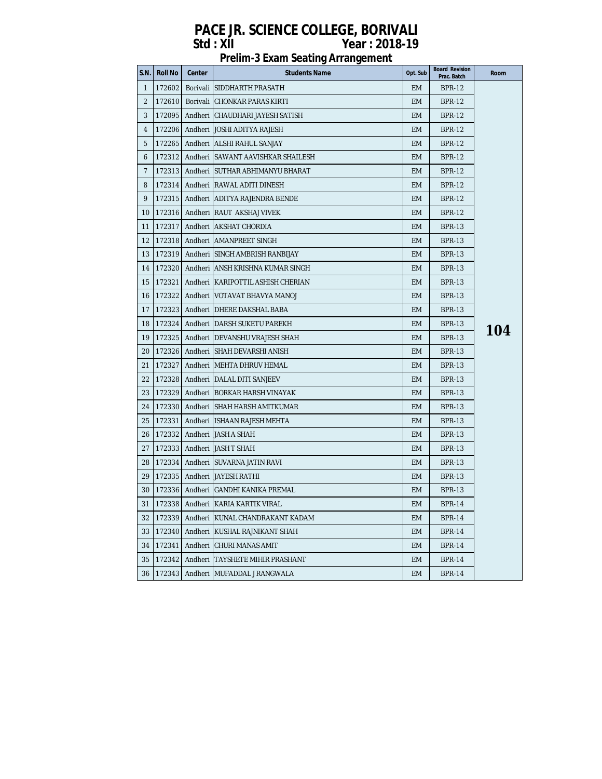| <b>S.N.</b>  | <b>Roll No</b> | Center  | <b>Students Name</b>                        | Opt. Sub | <b>Board Revision</b><br>Prac. Batch | Room |
|--------------|----------------|---------|---------------------------------------------|----------|--------------------------------------|------|
| $\mathbf{1}$ | 172602         |         | Borivali SIDDHARTH PRASATH                  | EM.      | <b>BPR-12</b>                        |      |
| 2            | 172610         |         | Borivali CHONKAR PARAS KIRTI                | EM       | <b>BPR-12</b>                        |      |
| 3            | 172095         |         | Andheri   CHAUDHARI JAYESH SATISH           | EM       | <b>BPR-12</b>                        |      |
| 4            | 172206         |         | Andheri JOSHI ADITYA RAJESH                 | EM       | <b>BPR-12</b>                        |      |
| 5            | 172265         |         | Andheri JALSHI RAHUL SANJAY                 | EM       | <b>BPR-12</b>                        |      |
| 6            | 172312         |         | Andheri ISAWANT AAVISHKAR SHAILESH          | EM       | <b>BPR-12</b>                        |      |
| 7            | 172313         |         | Andheri ISUTHAR ABHIMANYU BHARAT            | EM       | <b>BPR-12</b>                        |      |
| 8            | 172314         |         | Andheri   RAWAL ADITI DINESH                | EM       | <b>BPR-12</b>                        |      |
| 9            | 172315         |         | Andheri JADITYA RAJENDRA BENDE              | EM       | <b>BPR-12</b>                        |      |
| 10           | 172316         |         | Andheri RAUT AKSHAJ VIVEK                   | EM       | <b>BPR-12</b>                        |      |
| 11           | 172317         |         | Andheri   AKSHAT CHORDIA                    | EM       | <b>BPR-13</b>                        |      |
| 12           | 172318         |         | Andheri JAMANPREET SINGH                    | EM       | <b>BPR-13</b>                        |      |
| 13           |                |         | 172319   Andheri   SINGH AMBRISH RANBIJAY   | EM       | <b>BPR-13</b>                        |      |
| 14           |                |         | 172320   Andheri   ANSH KRISHNA KUMAR SINGH | EM       | <b>BPR-13</b>                        |      |
| 15           | 172321         |         | Andheri   KARIPOTTIL ASHISH CHERIAN         | EM       | <b>BPR-13</b>                        |      |
| 16           |                |         | 172322   Andheri   VOTAVAT BHAVYA MANOJ     | EM       | <b>BPR-13</b>                        |      |
| 17           | 172323         |         | Andheri   DHERE DAKSHAL BABA                | EM       | <b>BPR-13</b>                        |      |
| 18           | 172324         |         | Andheri   DARSH SUKETU PAREKH               | EM       | <b>BPR-13</b>                        |      |
| 19           | 172325         |         | Andheri IDEVANSHU VRAJESH SHAH              | EM       | <b>BPR-13</b>                        | 104  |
| 20           | 172326         |         | Andheri ISHAH DEVARSHI ANISH                | EM       | <b>BPR-13</b>                        |      |
| 21           | 172327         |         | Andheri   MEHTA DHRUV HEMAL                 | EM       | <b>BPR-13</b>                        |      |
| 22           | 172328         |         | Andheri DALAL DITI SANJEEV                  | EM       | <b>BPR-13</b>                        |      |
| 23           | 172329         |         | Andheri   BORKAR HARSH VINAYAK              | EM       | <b>BPR-13</b>                        |      |
| 24           |                |         | 172330   Andheri   SHAH HARSH AMITKUMAR     | EM       | <b>BPR-13</b>                        |      |
| 25           | 172331         |         | Andheri ISHAAN RAJESH MEHTA                 | EM       | <b>BPR-13</b>                        |      |
| 26           | 172332         |         | Andheri JJASH A SHAH                        | EM       | <b>BPR-13</b>                        |      |
| 27           |                |         | 172333   Andheri   JASH T SHAH              | EM       | <b>BPR-13</b>                        |      |
| 28           |                |         | 172334   Andheri   SUVARNA JATIN RAVI       | EM       | <b>BPR-13</b>                        |      |
| 29           |                |         | 172335   Andheri   JAYESH RATHI             | EM       | <b>BPR-13</b>                        |      |
| 30           |                |         | 172336   Andheri   GANDHI KANIKA PREMAL     | EM       | <b>BPR-13</b>                        |      |
|              |                |         | 31   172338   Andheri KARIA KARTIK VIRAL    | EM       | <b>BPR-14</b>                        |      |
|              | 32   172339    |         | Andheri KUNAL CHANDRAKANT KADAM             | EM       | <b>BPR-14</b>                        |      |
|              | 33   172340    | Andheri | KUSHAL RAJNIKANT SHAH                       | EM       | <b>BPR-14</b>                        |      |
| 34           | 172341         | Andheri | CHURI MANAS AMIT                            | EM       | <b>BPR-14</b>                        |      |
| 35           | 172342         | Andheri | TAYSHETE MIHIR PRASHANT                     | EM       | BPR-14                               |      |
| 36           | 172343         | Andheri | MUFADDAL J RANGWALA                         | EM       | <b>BPR-14</b>                        |      |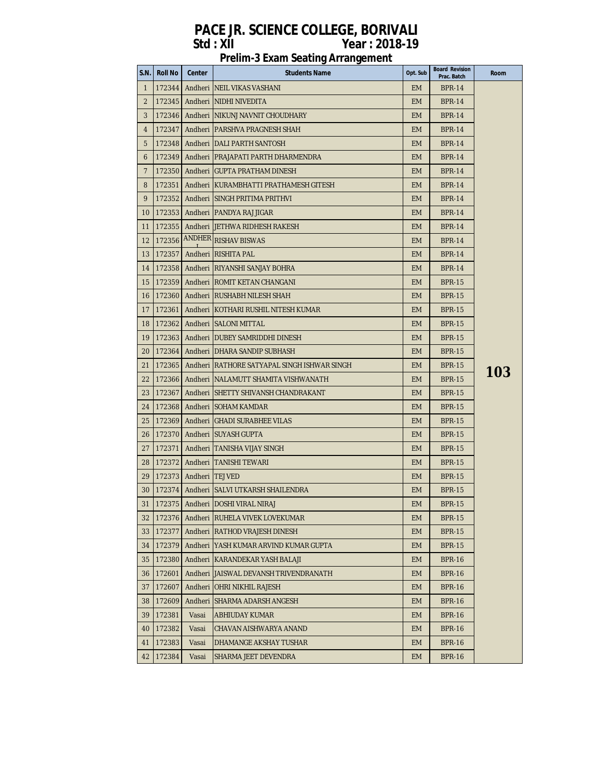| S.N.              | Roll No     | Center                          | <b>Students Name</b>                         | Opt. Sub  | <b>Board Revision</b><br>Prac. Batch | Room |
|-------------------|-------------|---------------------------------|----------------------------------------------|-----------|--------------------------------------|------|
| $\mathbf{1}$      | 172344      |                                 | Andheri NEIL VIKAS VASHANI                   | EM.       | <b>BPR-14</b>                        |      |
| $\overline{2}$    | 172345      |                                 | Andheri NIDHI NIVEDITA                       | <b>EM</b> | <b>BPR-14</b>                        |      |
| 3                 | 172346      |                                 | Andheri INIKUNJ NAVNIT CHOUDHARY             | <b>EM</b> | <b>BPR-14</b>                        |      |
| 4                 | 172347      |                                 | Andheri PARSHVA PRAGNESH SHAH                | <b>EM</b> | <b>BPR-14</b>                        |      |
| 5                 | 172348      |                                 | Andheri   DALI PARTH SANTOSH                 | <b>EM</b> | <b>BPR-14</b>                        |      |
| 6                 | 172349      |                                 | Andheri   PRAJAPATI PARTH DHARMENDRA         | <b>EM</b> | <b>BPR-14</b>                        |      |
| $\overline{7}$    |             |                                 | 172350   Andheri   GUPTA PRATHAM DINESH      | <b>EM</b> | <b>BPR-14</b>                        |      |
| 8                 | 172351      |                                 | Andheri KURAMBHATTI PRATHAMESH GITESH        | <b>EM</b> | <b>BPR-14</b>                        |      |
| 9                 | 172352      |                                 | Andheri SINGH PRITIMA PRITHVI                | <b>EM</b> | <b>BPR-14</b>                        |      |
| 10                | 172353      |                                 | Andheri   PANDYA RAJ JIGAR                   | <b>EM</b> | BPR-14                               |      |
| 11                | 172355      |                                 | Andheri JJETHWA RIDHESH RAKESH               | <b>EM</b> | <b>BPR-14</b>                        |      |
| $12 \overline{ }$ | 172356      |                                 | ANDHER RISHAV BISWAS                         | <b>EM</b> | <b>BPR-14</b>                        |      |
| 13                | 172357      |                                 | Andheri RISHITA PAL                          | <b>EM</b> | <b>BPR-14</b>                        |      |
| 14                |             |                                 | 172358   Andheri   RIYANSHI SANJAY BOHRA     | <b>EM</b> | <b>BPR-14</b>                        |      |
| 15                | 172359      |                                 | Andheri   ROMIT KETAN CHANGANI               | <b>EM</b> | <b>BPR-15</b>                        |      |
| 16                |             |                                 | 172360   Andheri   RUSHABH NILESH SHAH       | <b>EM</b> | BPR-15                               |      |
| 17                | 172361      |                                 | Andheri KOTHARI RUSHIL NITESH KUMAR          | <b>EM</b> | <b>BPR-15</b>                        |      |
| 18                | 172362      |                                 | Andheri SALONI MITTAL                        | <b>EM</b> | <b>BPR-15</b>                        |      |
| 19                |             |                                 | 172363 Andheri   DUBEY SAMRIDDHI DINESH      | <b>EM</b> | <b>BPR-15</b>                        |      |
| 20                | 172364      |                                 | Andheri   DHARA SANDIP SUBHASH               | <b>EM</b> | <b>BPR-15</b>                        |      |
| 21                | 172365      |                                 | Andheri IRATHORE SATYAPAL SINGH ISHWAR SINGH | <b>EM</b> | <b>BPR-15</b>                        |      |
| 22                | 172366      |                                 | Andheri NALAMUTT SHAMITA VISHWANATH          | <b>EM</b> | <b>BPR-15</b>                        | 103  |
| 23                | 172367      |                                 | Andheri ISHETTY SHIVANSH CHANDRAKANT         | <b>EM</b> | <b>BPR-15</b>                        |      |
| 24                |             |                                 | 172368   Andheri   SOHAM KAMDAR              | <b>EM</b> | <b>BPR-15</b>                        |      |
| 25                | 172369      |                                 | Andheri (GHADI SURABHEE VILAS                | <b>EM</b> | <b>BPR-15</b>                        |      |
| 26                | 172370      |                                 | Andheri ISUYASH GUPTA                        | <b>EM</b> | <b>BPR-15</b>                        |      |
| 27                | 172371      |                                 | Andheri TANISHA VIJAY SINGH                  | <b>EM</b> | <b>BPR-15</b>                        |      |
| 28                |             |                                 | 172372   Andheri   TANISHI TEWARI            | EM.       | <b>BPR-15</b>                        |      |
|                   |             | 29   172373   Andheri   TEJ VED |                                              | <b>EM</b> | <b>BPR-15</b>                        |      |
| 30                |             |                                 | 172374   Andheri   SALVI UTKARSH SHAILENDRA  | <b>EM</b> | <b>BPR-15</b>                        |      |
|                   |             |                                 | 31 172375 Andheri DOSHI VIRAL NIRAJ          | EM        | <b>BPR-15</b>                        |      |
|                   | 32   172376 |                                 | Andheri   RUHELA VIVEK LOVEKUMAR             | <b>EM</b> | <b>BPR-15</b>                        |      |
|                   | 33   172377 |                                 | Andheri RATHOD VRAJESH DINESH                | <b>EM</b> | BPR-15                               |      |
|                   | 34   172379 |                                 | Andheri   YASH KUMAR ARVIND KUMAR GUPTA      | <b>EM</b> | <b>BPR-15</b>                        |      |
| 35                | 172380      |                                 | Andheri   KARANDEKAR YASH BALAJI             | <b>EM</b> | BPR-16                               |      |
|                   | 36   172601 |                                 | Andheri JJAISWAL DEVANSH TRIVENDRANATH       | <b>EM</b> | <b>BPR-16</b>                        |      |
| 37                | 172607      |                                 | Andheri   OHRI NIKHIL RAJESH                 | <b>EM</b> | <b>BPR-16</b>                        |      |
|                   | 38   172609 |                                 | Andheri SHARMA ADARSH ANGESH                 | EM.       | <b>BPR-16</b>                        |      |
| 39                | 172381      | Vasai                           | <b>ABHIUDAY KUMAR</b>                        | EM.       | BPR-16                               |      |
| 40                | 172382      | Vasai                           | CHAVAN AISHWARYA ANAND                       | <b>EM</b> | <b>BPR-16</b>                        |      |
| 41                | 172383      | Vasai                           | DHAMANGE AKSHAY TUSHAR                       | <b>EM</b> | BPR-16                               |      |
|                   | 42 172384   | Vasai                           | SHARMA JEET DEVENDRA                         | <b>EM</b> | BPR-16                               |      |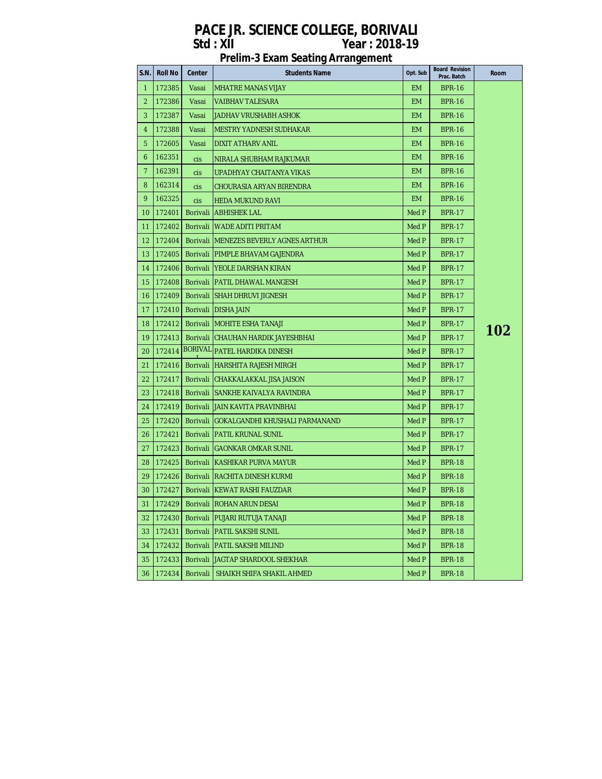| S.N. | Roll No | Center   | <b>Students Name</b>                       | Opt. Sub  | <b>Board Revision</b><br>Prac. Batch | <b>Room</b> |
|------|---------|----------|--------------------------------------------|-----------|--------------------------------------|-------------|
| 1    | 172385  | Vasai    | <b>MHATRE MANAS VIJAY</b>                  | EM.       | <b>BPR-16</b>                        |             |
| 2    | 172386  | Vasai    | <b>VAIBHAV TALESARA</b>                    | <b>EM</b> | <b>BPR-16</b>                        |             |
| 3    | 172387  | Vasai    | JADHAV VRUSHABH ASHOK                      | <b>EM</b> | <b>BPR-16</b>                        |             |
| 4    | 172388  | Vasai    | IMESTRY YADNESH SUDHAKAR                   | <b>EM</b> | <b>BPR-16</b>                        |             |
| 5    | 172605  | Vasai    | DIXIT ATHARV ANIL                          | <b>EM</b> | <b>BPR-16</b>                        |             |
| 6    | 162351  | cis      | NIRALA SHUBHAM RAJKUMAR                    | EM.       | <b>BPR-16</b>                        |             |
| 7    | 162391  | cis      | UPADHYAY CHAITANYA VIKAS                   | <b>EM</b> | <b>BPR-16</b>                        |             |
| 8    | 162314  | cis      | CHOURASIA ARYAN BIRENDRA                   | <b>EM</b> | <b>BPR-16</b>                        |             |
| 9    | 162325  | cis      | HEDA MUKUND RAVI                           | <b>EM</b> | <b>BPR-16</b>                        |             |
| 10   | 172401  |          | Borivali ABHISHEK LAL                      | Med P     | <b>BPR-17</b>                        |             |
| 11   | 172402  |          | Borivali WADE ADITI PRITAM                 | Med P     | <b>BPR-17</b>                        |             |
| 12   | 172404  |          | Borivali IMENEZES BEVERLY AGNES ARTHUR     | Med P     | <b>BPR-17</b>                        |             |
| 13   |         |          | 172405   Borivali   PIMPLE BHAVAM GAJENDRA | Med P     | <b>BPR-17</b>                        |             |
| 14   | 172406  |          | Borivali   YEOLE DARSHAN KIRAN             | Med P     | <b>BPR-17</b>                        |             |
| 15   |         |          | 172408   Borivali   PATIL DHAWAL MANGESH   | Med P     | <b>BPR-17</b>                        |             |
| 16   |         |          | 172409   Borivali SHAH DHRUVI JIGNESH      | Med P     | <b>BPR-17</b>                        |             |
| 17   |         |          | 172410   Borivali   DISHA JAIN             | Med P     | <b>BPR-17</b>                        |             |
| 18   |         |          | 172412 Borivali MOHITE ESHA TANAJI         | Med P     | <b>BPR-17</b>                        |             |
| 19   | 172413  |          | Borivali CHAUHAN HARDIK JAYESHBHAI         | Med P     | <b>BPR-17</b>                        | 102         |
| 20   | 172414  |          | BORIVAL PATEL HARDIKA DINESH               | Med P     | <b>BPR-17</b>                        |             |
| 21   | 172416  |          | Borivali HARSHITA RAJESH MIRGH             | Med P     | <b>BPR-17</b>                        |             |
| 22   | 172417  |          | Borivali CHAKKALAKKAL JISA JAISON          | Med P     | <b>BPR-17</b>                        |             |
| 23   | 172418  |          | Borivali SANKHE KAIVALYA RAVINDRA          | Med P     | <b>BPR-17</b>                        |             |
| 24   | 172419  |          | Borivali JJAIN KAVITA PRAVINBHAI           | Med P     | <b>BPR-17</b>                        |             |
| 25   | 172420  |          | Borivali GOKALGANDHI KHUSHALI PARMANAND    | Med P     | <b>BPR-17</b>                        |             |
| 26   | 172421  |          | Borivali   PATIL KRUNAL SUNIL              | Med P     | <b>BPR-17</b>                        |             |
| 27   |         |          | 172423   Borivali   GAONKAR OMKAR SUNIL    | Med P     | <b>BPR-17</b>                        |             |
| 28   | 172425  |          | Borivali KASHIKAR PURVA MAYUR              | Med P     | <b>BPR-18</b>                        |             |
| 29.  |         |          | 172426   Borivali RACHITA DINESH KURMI     | Med P     | <b>BPR-18</b>                        |             |
| 30   |         |          | 172427   Borivali KEWAT RASHI FAUZDAR      | Med P     | <b>BPR-18</b>                        |             |
|      |         |          | 31   172429   Borivali ROHAN ARUN DESAI    | Med P     | <b>BPR-18</b>                        |             |
| 32   | 172430  |          | Borivali   PUJARI RUTUJA TANAJI            | Med P     | <b>BPR-18</b>                        |             |
| 33.  | 172431  |          | Borivali PATIL SAKSHI SUNIL                | Med P     | <b>BPR-18</b>                        |             |
| 34   | 172432  |          | Borivali PATIL SAKSHI MILIND               | Med P     | <b>BPR-18</b>                        |             |
| 35   | 172433  |          | Borivali JJAGTAP SHARDOOL SHEKHAR          | Med P     | <b>BPR-18</b>                        |             |
| 36   | 172434  | Borivali | SHAIKH SHIFA SHAKIL AHMED                  | Med P     | <b>BPR-18</b>                        |             |